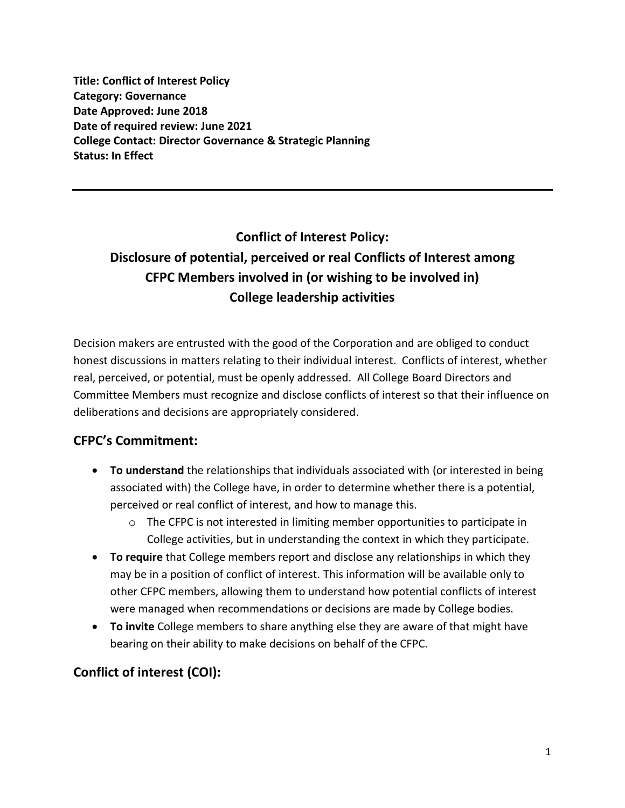**Title: Conflict of Interest Policy Category: Governance Date Approved: June 2018 Date of required review: June 2021 College Contact: Director Governance & Strategic Planning Status: In Effect**

# **Conflict of Interest Policy: Disclosure of potential, perceived or real Conflicts of Interest among CFPC Members involved in (or wishing to be involved in) College leadership activities**

Decision makers are entrusted with the good of the Corporation and are obliged to conduct honest discussions in matters relating to their individual interest. Conflicts of interest, whether real, perceived, or potential, must be openly addressed. All College Board Directors and Committee Members must recognize and disclose conflicts of interest so that their influence on deliberations and decisions are appropriately considered.

# **CFPC's Commitment:**

- **To understand** the relationships that individuals associated with (or interested in being associated with) the College have, in order to determine whether there is a potential, perceived or real conflict of interest, and how to manage this.
	- o The CFPC is not interested in limiting member opportunities to participate in College activities, but in understanding the context in which they participate.
- **To require** that College members report and disclose any relationships in which they may be in a position of conflict of interest. This information will be available only to other CFPC members, allowing them to understand how potential conflicts of interest were managed when recommendations or decisions are made by College bodies.
- **To invite** College members to share anything else they are aware of that might have bearing on their ability to make decisions on behalf of the CFPC.

# **Conflict of interest (COI):**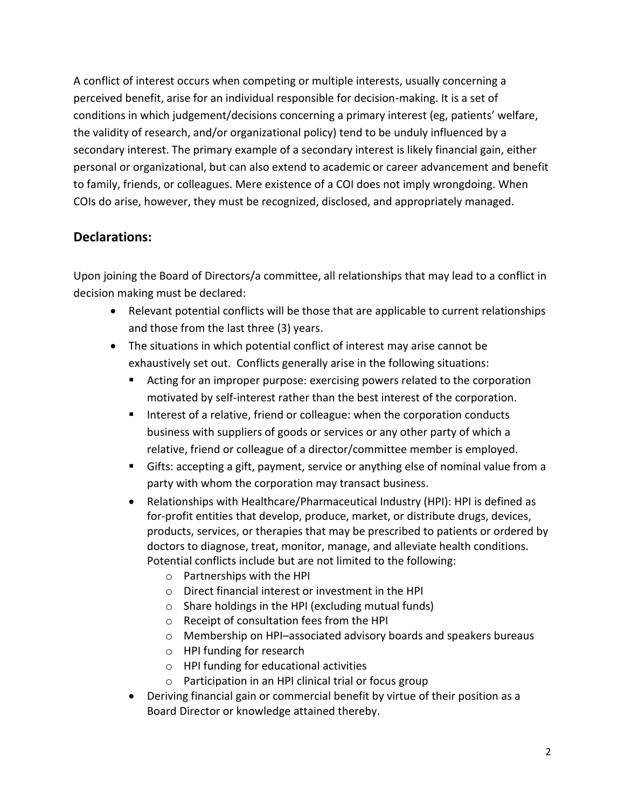A conflict of interest occurs when competing or multiple interests, usually concerning a perceived benefit, arise for an individual responsible for decision-making. It is a set of conditions in which judgement/decisions concerning a primary interest (eg, patients' welfare, the validity of research, and/or organizational policy) tend to be unduly influenced by a secondary interest. The primary example of a secondary interest is likely financial gain, either personal or organizational, but can also extend to academic or career advancement and benefit to family, friends, or colleagues. Mere existence of a COI does not imply wrongdoing. When COIs do arise, however, they must be recognized, disclosed, and appropriately managed.

#### **Declarations:**

Upon joining the Board of Directors/a committee, all relationships that may lead to a conflict in decision making must be declared:

- Relevant potential conflicts will be those that are applicable to current relationships and those from the last three (3) years.
- The situations in which potential conflict of interest may arise cannot be exhaustively set out. Conflicts generally arise in the following situations:
	- Acting for an improper purpose: exercising powers related to the corporation motivated by self-interest rather than the best interest of the corporation.
	- Interest of a relative, friend or colleague: when the corporation conducts business with suppliers of goods or services or any other party of which a relative, friend or colleague of a director/committee member is employed.
	- **EX** Gifts: accepting a gift, payment, service or anything else of nominal value from a party with whom the corporation may transact business.
	- Relationships with Healthcare/Pharmaceutical Industry (HPI): HPI is defined as for-profit entities that develop, produce, market, or distribute drugs, devices, products, services, or therapies that may be prescribed to patients or ordered by doctors to diagnose, treat, monitor, manage, and alleviate health conditions. Potential conflicts include but are not limited to the following:
		- o Partnerships with the HPI
		- o Direct financial interest or investment in the HPI
		- o Share holdings in the HPI (excluding mutual funds)
		- o Receipt of consultation fees from the HPI
		- o Membership on HPI–associated advisory boards and speakers bureaus
		- o HPI funding for research
		- o HPI funding for educational activities
		- o Participation in an HPI clinical trial or focus group
	- Deriving financial gain or commercial benefit by virtue of their position as a Board Director or knowledge attained thereby.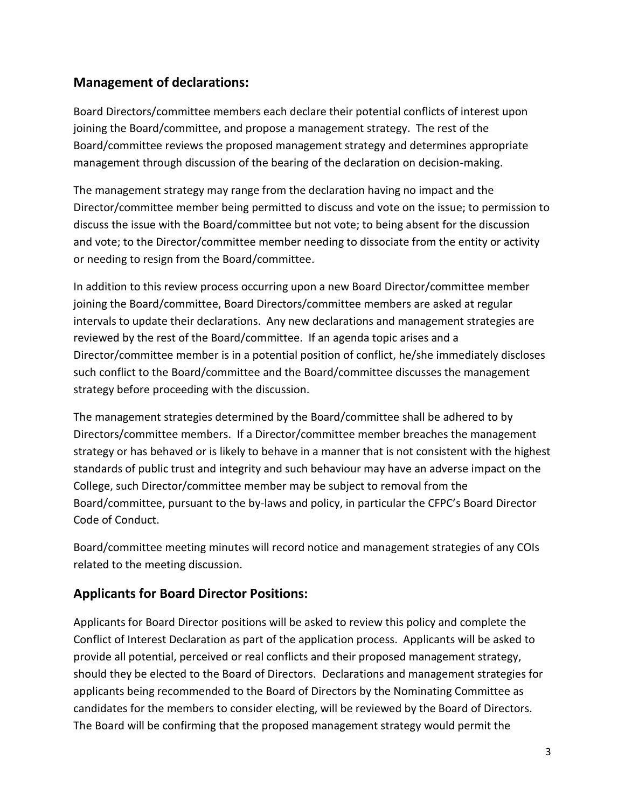## **Management of declarations:**

Board Directors/committee members each declare their potential conflicts of interest upon joining the Board/committee, and propose a management strategy. The rest of the Board/committee reviews the proposed management strategy and determines appropriate management through discussion of the bearing of the declaration on decision-making.

The management strategy may range from the declaration having no impact and the Director/committee member being permitted to discuss and vote on the issue; to permission to discuss the issue with the Board/committee but not vote; to being absent for the discussion and vote; to the Director/committee member needing to dissociate from the entity or activity or needing to resign from the Board/committee.

In addition to this review process occurring upon a new Board Director/committee member joining the Board/committee, Board Directors/committee members are asked at regular intervals to update their declarations. Any new declarations and management strategies are reviewed by the rest of the Board/committee. If an agenda topic arises and a Director/committee member is in a potential position of conflict, he/she immediately discloses such conflict to the Board/committee and the Board/committee discusses the management strategy before proceeding with the discussion.

The management strategies determined by the Board/committee shall be adhered to by Directors/committee members. If a Director/committee member breaches the management strategy or has behaved or is likely to behave in a manner that is not consistent with the highest standards of public trust and integrity and such behaviour may have an adverse impact on the College, such Director/committee member may be subject to removal from the Board/committee, pursuant to the by-laws and policy, in particular the CFPC's Board Director Code of Conduct.

Board/committee meeting minutes will record notice and management strategies of any COIs related to the meeting discussion.

### **Applicants for Board Director Positions:**

Applicants for Board Director positions will be asked to review this policy and complete the Conflict of Interest Declaration as part of the application process. Applicants will be asked to provide all potential, perceived or real conflicts and their proposed management strategy, should they be elected to the Board of Directors. Declarations and management strategies for applicants being recommended to the Board of Directors by the Nominating Committee as candidates for the members to consider electing, will be reviewed by the Board of Directors. The Board will be confirming that the proposed management strategy would permit the